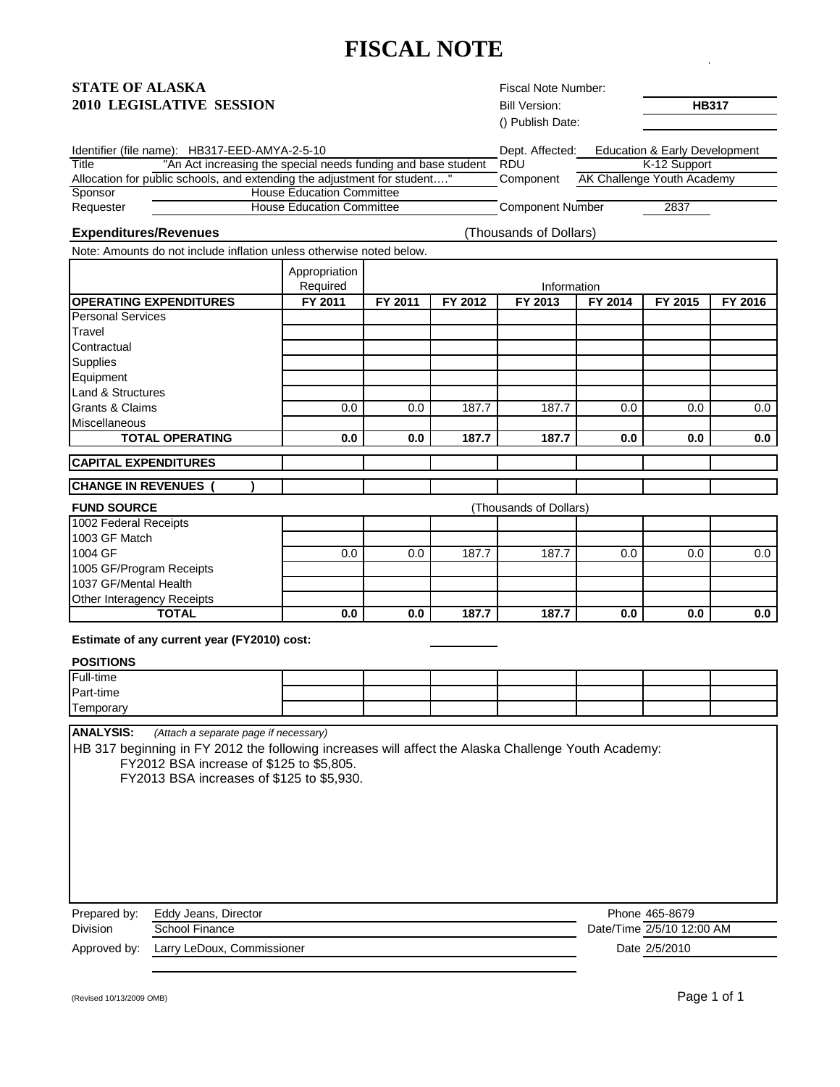# **FISCAL NOTE**

#### **STATE OF ALASKA 2010 LEGISLATIVE SESSION** Bill Version: **HB317**

| () Publish Date: |                               |
|------------------|-------------------------------|
|                  | Education & Early Development |
| RDU              | K-12 Support                  |
| Component        | AK Challenge Youth Academy    |
|                  |                               |
| Component Number | 2837                          |
|                  | Dept. Affected:               |

#### **Expenditures/Revenues** (Thousands of Dollars)

Fiscal Note Number:

Bill Version:

Note: Amounts do not include inflation unless otherwise noted below.

|                               | Appropriation<br>Required |         |         | Information            |         |         |         |
|-------------------------------|---------------------------|---------|---------|------------------------|---------|---------|---------|
| <b>OPERATING EXPENDITURES</b> | FY 2011                   | FY 2011 | FY 2012 | FY 2013                | FY 2014 | FY 2015 | FY 2016 |
| <b>Personal Services</b>      |                           |         |         |                        |         |         |         |
| Travel                        |                           |         |         |                        |         |         |         |
| Contractual                   |                           |         |         |                        |         |         |         |
| Supplies                      |                           |         |         |                        |         |         |         |
| Equipment                     |                           |         |         |                        |         |         |         |
| Land & Structures             |                           |         |         |                        |         |         |         |
| <b>Grants &amp; Claims</b>    | 0.0                       | 0.0     | 187.7   | 187.7                  | 0.0     | 0.0     | 0.0     |
| <b>Miscellaneous</b>          |                           |         |         |                        |         |         |         |
| <b>TOTAL OPERATING</b>        | 0.0                       | 0.0     | 187.7   | 187.7                  | 0.0     | 0.0     | 0.0     |
| <b>CAPITAL EXPENDITURES</b>   |                           |         |         |                        |         |         |         |
| <b>CHANGE IN REVENUES</b>     |                           |         |         |                        |         |         |         |
| <b>FUND SOURCE</b>            |                           |         |         | (Thousands of Dollars) |         |         |         |
| 1002 Federal Receipts         |                           |         |         |                        |         |         |         |
| 1003 GF Match                 |                           |         |         |                        |         |         |         |
| 1004 GF                       | 0.0                       | 0.0     | 187.7   | 187.7                  | 0.0     | 0.0     | 0.0     |
| 1005 GF/Program Receipts      |                           |         |         |                        |         |         |         |
| 1037 GF/Mental Health         |                           |         |         |                        |         |         |         |
| Other Interagency Receipts    |                           |         |         |                        |         |         |         |
| <b>TOTAL</b>                  | 0.0                       | 0.0     | 187.7   | 187.7                  | 0.0     | 0.0     | 0.0     |

**Estimate of any current year (FY2010) cost:** 

### **POSITIONS**

| Full-time |  |
|-----------|--|
| Part-time |  |
| Temporary |  |
|           |  |

**ANALYSIS:** *(Attach a separate page if necessary)*

HB 317 beginning in FY 2012 the following increases will affect the Alaska Challenge Youth Academy: FY2012 BSA increase of \$125 to \$5,805.

FY2013 BSA increases of \$125 to \$5,930.

Prepared by: Eddy Jeans, Director Division School Finance

Phone 465-8679 Date/Time 2/5/10 12:00 AM Date 2/5/2010

Approved by: Larry LeDoux, Commissioner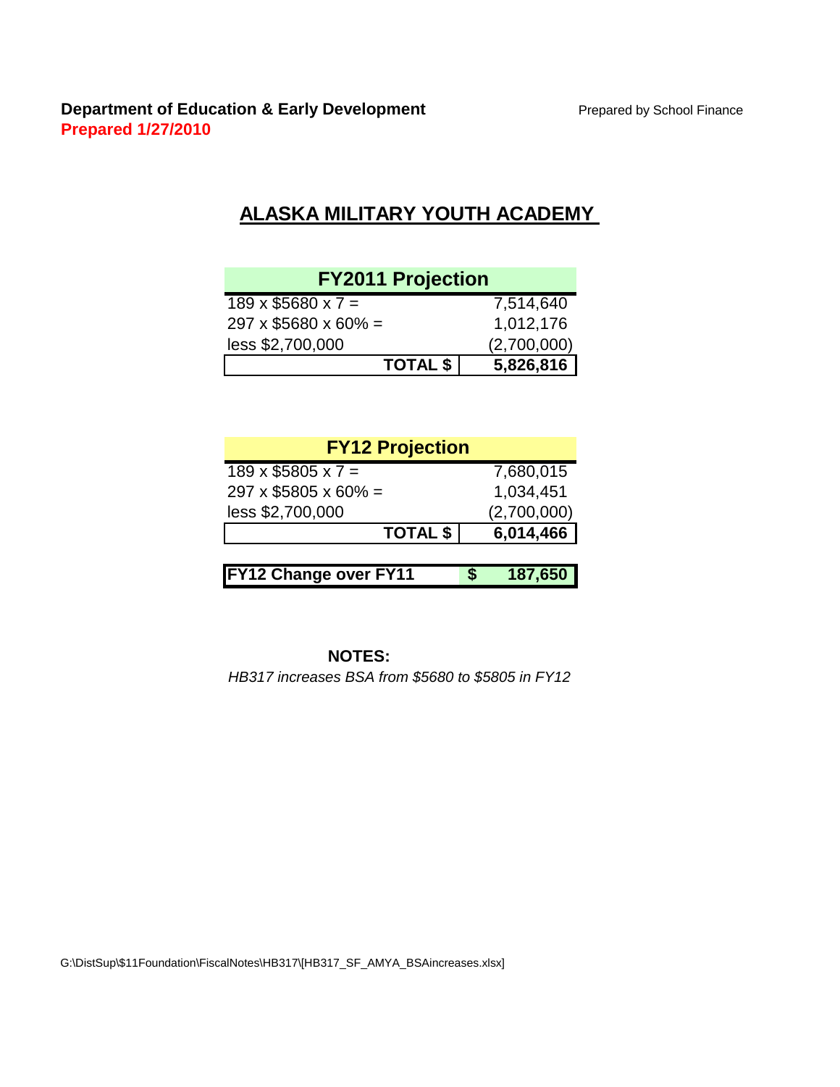## **ALASKA MILITARY YOUTH ACADEMY**

| <b>FY2011 Projection</b>         |             |
|----------------------------------|-------------|
| $189 \times $5680 \times 7 =$    | 7,514,640   |
| $297 \times $5680 \times 60\% =$ | 1,012,176   |
| less \$2,700,000                 | (2,700,000) |
| <b>TOTAL \$</b>                  | 5,826,816   |

| <b>FY12 Projection</b>           |             |
|----------------------------------|-------------|
| $189 \times $5805 \times 7 =$    | 7,680,015   |
| $297 \times $5805 \times 60\% =$ | 1,034,451   |
| less \$2,700,000                 | (2,700,000) |
| <b>TOTAL \$</b>                  | 6,014,466   |
|                                  |             |
| FY12 Change over FY11            | 187,650     |

### **NOTES:**

*HB317 increases BSA from \$5680 to \$5805 in FY12*

G:\DistSup\\$11Foundation\FiscalNotes\HB317\[HB317\_SF\_AMYA\_BSAincreases.xlsx]